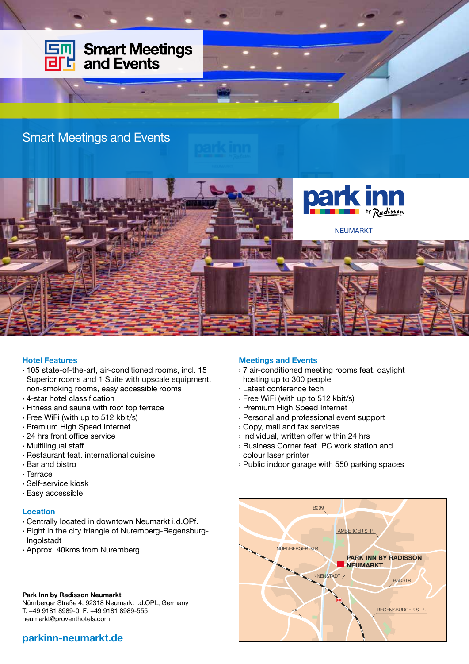

## Hotel Features

- › 105 state-of-the-art, air-conditioned rooms, incl. 15 Superior rooms and 1 Suite with upscale equipment, non-smoking rooms, easy accessible rooms
- › 4-star hotel classification
- › Fitness and sauna with roof top terrace
- › Free WiFi (with up to 512 kbit/s)
- › Premium High Speed Internet
- › 24 hrs front office service
- › Multilingual staff
- › Restaurant feat. international cuisine
- › Bar and bistro
- › Terrace
- › Self-service kiosk
- › Easy accessible

## Location

- › Centrally located in downtown Neumarkt i.d.OPf.
- › Right in the city triangle of Nuremberg-Regensburg-Ingolstadt
- › Approx. 40kms from Nuremberg

## Park Inn by Radisson Neumarkt

Nürnberger Straße 4, 92318 Neumarkt i.d.OPf., Germany T: +49 9181 8989-0, F: +49 9181 8989-555 neumarkt@proventhotels.com

## parkinn-neumarkt.de

#### Meetings and Events

- › 7 air-conditioned meeting rooms feat. daylight hosting up to 300 people
- › Latest conference tech
- › Free WiFi (with up to 512 kbit/s)
- › Premium High Speed Internet
- › Personal and professional event support
- › Copy, mail and fax services
- › Individual, written offer within 24 hrs
- › Business Corner feat. PC work station and colour laser printer
- › Public indoor garage with 550 parking spaces